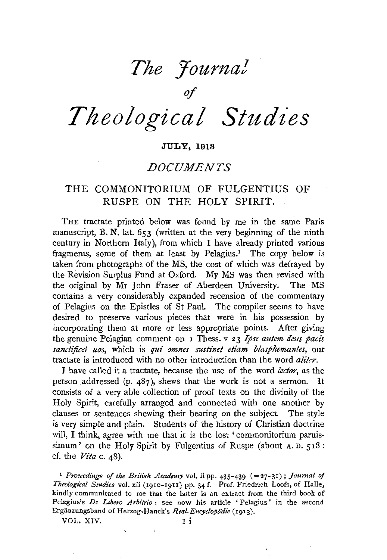# *The Yourna!*

of

# *Theological Studies*

#### **JULY, 1913**

## *DOCUMENTS*

### THE COMMONITORIUM OF FULGENTIUS OF RUSPE ON THE HOLY SPIRIT.

THE tractate printed below was found by me in the same Paris manuscript, B. N. lat. 653 (written at the very beginning of the ninth century in Northern Italy), from which I have already printed various fragments, some of them at least by Pelagius.<sup>1</sup> The copy below is taken from photographs of the MS, the cost of which was defrayed by the Revision Surplus Fund at Oxford. My MS was then revised with the original by Mr John Fraser of Aberdeen University. The MS contains a very considerably expanded recension of the commentary of Pelagius on the Epistles of St Paul. The compiler seems to have desired to preserve various pieces that were in his possession by incorporating them at more or less appropriate points. After giving the genuine Pelagian comment on I Thess. v 23 *Ipse autem deus pact's sanctijicet uos,* which is *qui omnes sustinet etiam blasphemantes,* our tractate is introduced with no other introduction than the word *aliter.* 

I have called it a tractate, because the use of the word *lector,* as the person addressed (p. 487), shews that the work is not a sermon. It consists of a very able collection of proof texts on the divinity of the Holy Spirit, carefully arranged and connected with one another by clauses or sentences shewing their bearing on the subject. The style is very simple and plain. Students of the history of Christian doctrine will, I think, agree with me that it is the lost 'commonitorium paruissimum' on the Holy Spirit by Fulgentius of Ruspe (about A.D. 518: cf. the *Vita* c. 48).

<sup>1</sup> Proceedings of the British Academy vol. ii pp. 435-439 (=27-31); Journal of *Theological Studies* vol. xii (I9I0-19II) pp. 34 f. Prof. Friedrich Loofs, of Halle, kindly communicated to me that the latter is an extract from the third book of Pelagius's *De Libero Arbitrio:* see now his article 'Pelagius' in the second Erganzungsband of Herzog-Hauck's *Real-Encyclopiidic* (rgr3).

VOL. XIV. I i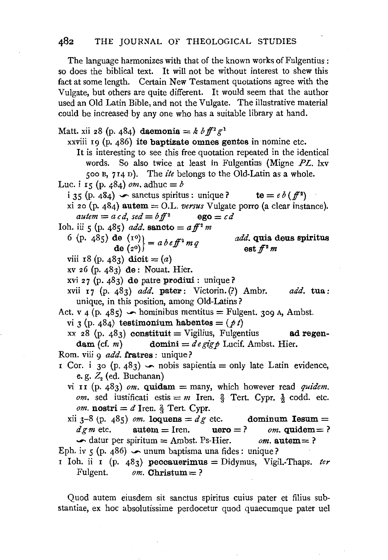The language harmonizes with that of the known works of Fulgentius: so does the biblical text. It will not be without interest to shew this fact at some length. Certain New Testament quotations agree with the Vulgate, but others are quite different. It would seem that the author used an Old Latin Bible, and not the Vulgate. The illustrative material could be increased by any one who has a suitable library at hand.

Matt. xii 28 (p. 484) daemonia =  $k \, b \, \bar{f}^2 g^1$ xxviii 19 (p. 486) ite baptizate omnes gentes in nomine etc. It is interesting to see this free quotation repeated in the identical words. So also twice at least in Fulgentius (Migne PL. lxv 500 B, 714 n). The *ite* belongs to the Old-Latin as a whole. Luc. i 15 (p. 484) *om.* adhuc = *b* i 35 (p. 484)  $\sim$  sanctus spiritus: unique? te =  $e b (f^2)$ xi 20 (p.  $484$ ) autem = O.L. *versus* Vulgate porro (a clear instance).  $a$ utem =  $a c d$ ,  $\text{se} d = b f f^2$  ego =  $c d$ Ioh. iii 5 (p. 485) *add.* **sancto** =  $a \, \text{f}^2 \, \text{m}$ 6 (p. 485) de  $\begin{pmatrix} 1^0 \\ 0 \\ 0 \end{pmatrix} = a b e f^2 m q$ viii r8 (p. 483) dicit  $= (a)$ xv 26 (p. 483) de: Nouat. Hier. xvi 27 (p. 483) de patre prodiui : unique? *add.* quia deus spiritus est  $f^2$  m xvii I7 (p. 483) *add.* pater: Victorin. (?) Ambr. unique, in this position, among Old-Latins? *add.* tua: Act. v 4 (p. 485)  $\sim$  hominibus mentitus = Fulgent. 309 A, Ambst. vi 3 (p. 484) testimonium habentes =  $(p t)$ xx 28 (p. 483) constituit = Vigilius, Fulgentius ad regen-<br>dam (cf. m) domini =  $d e g i g \phi$  Lucif. Ambst. Hier.  $domini = d e gig \phi$  Lucif. Ambst. Hier. Rom. viii 9 *add*. fratres : unique? r Cor. i 30 (p. 483)  $\sim$  nobis sapientia = only late Latin evidence, e. g. Z*2* (ed. Buchanan) vi 11 (p. 483)  $om$ . **quidam** = many, which however read *quidem*. *om.* sed iustificati estis  $= m$  Iren.  $\frac{2}{5}$  Tert. Cypr.  $\frac{1}{2}$  codd. etc. *om.* **nostri** =  $d$  Iren.  $\frac{2}{3}$  Tert. Cypr. xii  $3-8$  (p. 485) *om.* **loquens** =  $dg$  etc. dominum **Iesum** =  $d \text{g } m$  etc. autem = Iren. uero = ? *om.* quidem = ?  $\blacktriangleright$  datur per spiritum = Ambst. Ps-Hier. *om.* autem = ? Eph. iv 5 (p. 486)  $\sim$  unum baptisma una fides : unique? r Ioh. ii r (p. 483) peccauerimus = Didymus, Vigil.-Thaps. *ter*  Fulgent.  $$ 

Quod autem eiusdem sit sanctus spiritus cuius pater et filius substantiae, ex hoc absolutissime perdocetur quod quaecumque pater uel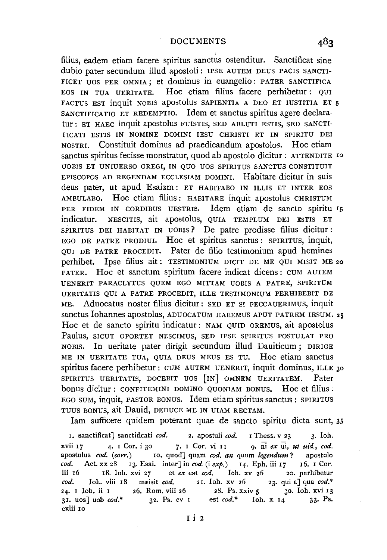filius, eadem etiam facere spiritus sanctus ostenditur. Sanctificat sine dubio pater secundum illud apostoli: IPSE AUTEM DEUS PACIS SANCTI-FICET UOS PER OMNIA ; et dominus in euangelio : PATER SANCTIFICA EOS IN TUA UERITATE. Hoc etiam filius facere perhibetur : QUI FACTUS EST inquit NOBIS apostolus SAPIENTIA A DEO ET IUSTITIA ET 5 SANCTIFICATIO ET REDEMPTIO. Idem et sanctus spiritus agere declaratur: ET HAEC inquit apostolus FUISTIS, SED ABLUTI ESTIS, SED SANCTI-FICATI ESTIS IN NOMINE DOMINI IESU CHRISTI ET IN SPIRITU DEI NOSTRI. Constituit dominus ad praedicandum apostolos. Hoc etiam sanctus spiritus fecisse monstratur, quod ab apostolo dicitur: ATTENDITE <sup>10</sup> UOBIS ET UNIUERSO GREG!, IN QUO UOS SPIRITUS SANCTUS CONSTITUIT EPISCOPOS AD REGENDAM ECCLESIAM DOMINI. Habitare dicitur in suis deus pater, ut apud Esaiam : ET HABITABO IN ILLIS ET INTER EOS AMBULABO. Hoc etiam filius: HABITARE inquit apostolus CHRISTUM PER FIDEM IN CORDIBUS UESTRIS. Idem etiam de sancto spiritu I5 indicatur. NESCITIS, ait apostolus, QUIA TEMPLUM DEI ESTIS ET SPIRITUS DEI HABITAT IN UOBIS? De patre prodisse filius dicitur: EGO DE PATRE PRODIUI. Hoc et spiritus sanctus: SPIRITUS, inquit, QUI DE PATRE PROCEDIT. Pater de filio testimonium apud homines perhibet. Ipse filius ait: TESTIMONIUM DICIT DE ME QUI MISIT ME 20 PATER. Hoc et sanctum spiritum facere indicat dicens: CUM AUTEM UENERIT PARACLYTUS QUEM EGO MITTAM UOBIS A PATRE, SPIRITUM UERITATIS QUI A PATRE PROCEDIT, ILLE TESTIMONIUM PERHIBEBIT DE ME. Aduocatus noster filius dicitur: SED ET SI PECCAUERIMUS, inquit sanctus Iohannes apostolus, ADUOCATUM HABEMUS APUT PATREM IESUM. 25 Hoc et de sancto spiritu indicatur: NAM QUID OREMUS, ait apostolus Paulus, SICUT OPORTET NESCIMUS, SED IPSE SPIRITUS POSTULAT PRO NOBIS. In ueritate pater dirigit secundum illud Dauiticum; DIRIGE ME IN UERITATE TUA, QUIA DEUS MEUS ES TU. Hoc etiam sanctus spiritus facere perhibetur: CUM AUTEM UENERIT, inquit dominus, ILLE 30 SPIRITUS UERITATIS, DOCEBIT UOS [IN] OMNEM UERITATEM. Pater bonus dicitur : CONFITEMINI DOMINO QUONIAM BONUS, Hoc et filius : EGO SUM, inquit, PASTOR BONUS. Idem etiam spiritus sanctus : SPIRITUS TUUS BONUS, ait Dauid, DEDUCE ME IN UIAM RECTAM.

lam sufficere quidem poterant quae de sancto spiritu dicta sunt, 35

I. sanctificat] sanctificati *cod.* 2. apostuli *cod.* I Thess. v 23 3· loh. xvii 17 4· I Cor. i 30 7· I Cor. vi II 9· ni *ex* ui, *ut uid., cod.*  apostulus *cod. (corr.)* IO. quod] quam *cod. an* quum *legendum?* apostulo *cod.* Act. xx 28 I3. Esai. inter] in *cod.* (i *exp.)* I4. Eph. iii I7 I6. I Cor. iii I6 I8. loh. xvi 27 et *ex* est *cod.* Ioh. xv 26 20. perhibetur *cod.* Ioh. viii 18 m\*isit *cod.* 21. Ioh. xv 26 23. qui a] qua *cod.\** 24. 1 Ioh. ii 1 26. Rom. viii 26 28. Ps. xxiv 5 30. Ioh. xvi 13 24. I loh. ii I 26. Rom. viii 26 28. Ps. xxiv 5 30. Ioh. xvi I 3<br>31. uos] uob cod.\* 32. Ps. cv I est cod.\* Ioh. x I4 33. Ps. 32. Ps. cv I est *cod*.\* Ioh. x 14 cxlii Io

I i 2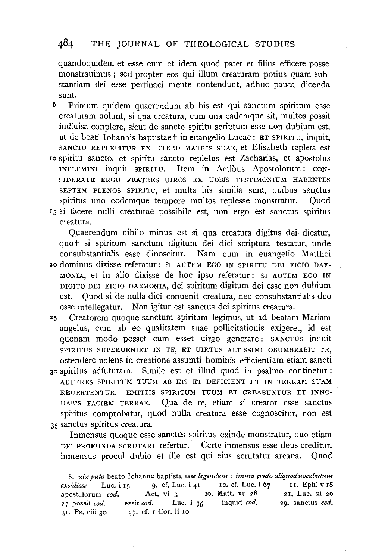#### 484 THE JOURNAL OF THEOLOGICAL STUDIES

quandoquidem et esse eum et idem quod pater et filius efficere posse monstrauimus; sed propter eos qui ilium creaturam potius quam substantiam dei esse pertinaci mente contendunt, adhuc pauca dicenda sunt.

- 5 · Primum quidem quaerendum ab his est qui sanctum spiritum esse creaturam uolunt, si qua creatura, cum una eademque sit, multos possit indiuisa conplere, sicut de sancto spiritu scriptum esse non dubium est, ut de beati Iohannis baptistaet in euangelio Lucae: ET SPIRITU, inquit, SANCTO REPLEBITUR EX UTERO MATRIS SUAE, et Elisabeth repleta est Io spiritu sancto, et spiritu sancto repletus est Zacharias, et apostolus !NPLEMINI inquit SPIRITU. Item in Actibus Apostolorum: CON-SIDERATE ERGO FRATRES UIROS EX UOBIS TESTIMONIUM HABENTES SEPTEM PLENOS SPIRITU, et multa his similia sunt, quibus sanctus
- spiritus uno eodemque tempore multos replesse monstratur. Quod IS si facere nulli creaturae possibile est, non ergo est sanctus spiritus creatura.

Quaerendum nihilo minus est si qua creatura digitus dei dicatur, quot si spiritum sanctum digitum dei dici scriptura testatur, unde consubstantialis esse dinoscitur. Nam cum in euangelio Matthei 20 dominus dixisse referatur: SI AUTEM EGO IN SPIRITU DEI EICIO DAE-MONIA, et in alio dixisse de hoc ipso referatur : SI AUTEM EGO IN DIGITO DEI EICIO DAEMONIA, dei spiritum digitum dei esse non dubium est. Quod si de nulla dici conuenit creatura, nee consubstantialis deo esse intellegatur. Non igitur est sanctus dei spiritus creatura.

25 Creatorem quoque sanctum spiritum Iegimus, ut ad beatam Mariam angelus, cum ab eo qualitatem suae pollicitationis exigeret, id est quonam modo posset cum esset uirgo generare: SANCTUS inquit SPIRITUS SUPERUENIET IN TE, ET UIRTUS ALTISSIMI OBUMBRABIT TE, ostendere uolens in creatione assumti hominis efficientiam etiam sancti 30 spiritus adfuturam. Simile est et illud quod in psalmo continetur : AUFERES SPIRITUM TUUM AB EIS ET DEFICIENT ET IN TERRAM SUAM REUERTENTUR. EMITTIS SPIRITUM TUUM ET CREABUNTUR ET INNO-UABIS FACIEM TERRAE. Qua de re, etiam si creator esse sanctus spiritus comprobatur, quod nulla creatura esse cognoscitur, non est

35 sanctus spiritus creatura.

Inmensus quoque esse sanctus spiritus exinde monstratur, quo etiam DEI PROFUNDA scRUTARI refertur. Certe inmensus esse deus creditur, inmensus procul dubio et ille est qui eius scrutatur arcana. Quod

8. *uix puto* beato Iohanne baptista *esse legendum* : *immo credo aliquoduocabulum excidisse* Luc. i 15 9. cf. Luc. i 41 10. cf. Luc. i 67 II. Eph. v 18<br>apostulorum cod. Act. vi 3 20. Matt. xii 28 21. Luc. xi 20 apostulorum *cod*, Act. vi 3 20. Matt. xii 28 21. Luc. xi 20 27 possit *cod.* essit *cod.* Luc. i 35 inquid *cod.* 29. sanctus *cod .*  . 3I. Ps. ciii 30 37· cf. I Cor. ii ro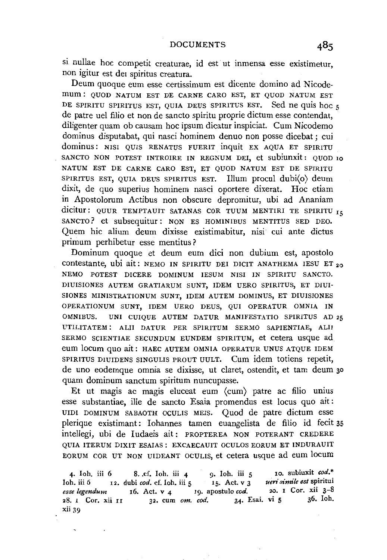si nullae hoc competit creaturae, id est ut inmensa esse existimetur, non igitur est der spiritus creatura.

Deum quoque eum esse certissimum est dicente domino ad Nicodemum : QUOD NATUM EST DE CARNE CARO EST, ET QUOD NATUM EST DE SPIRITU SPIRITUS EST, QUIA DEUS SPIRITUS EST. Sed ne quis hoc 5 de patre uel filio et non de sancto spiritu proprie dictum esse contendat, diligenter quam ob causam hoc ipsum dicatur inspiciat. Cum Nicodemo dominus disputabat, qui nasci hominem denuo non posse dicebat ; cui dominus: NISI QUIS RENATUS FUERIT inquit EX AQUA ET SPIRITU SANCTO NON POTEST INTROIRE IN REGNUM DEI, et subiunxit: QUOD 10 NATUM EST DE CARNE CARO EST, ET QUOD NATUM EST DE SPIRITU SPIRITUS EST, QUIA DEUS SPIRITUS EST. Illum procul dubi(o) deum dixit, de quo superius hominem nasci oportere dixerat. Hoc etiam in Apostolorum Actibus non obscure depromitur, ubi ad Ananiam dicitur: QUUR TEMPTAUIT SATANAS COR TUUM MENTIRI TE SPIRITU  $I_5$ SANCTO? et subsequitur: NON ES HOMINIBUS MENTITUS SED DEO. Quem hie alium deum dixisse existimabitur, nisi cui ante dictus primum perhibetur esse mentitus?

Dominum quoque et deum eum dici non dubium est, apostolo COntestante, ubi ait: NEMO IN SPIRITU DEI DICIT ANATHEMA IESU ET 20 NEMO POTEST DICERE DOMINUM IESUM NISI IN SPIRITU SANCTO. DIUISIONES AUTEM GRATIARUM SUNT, IDEM UERO SPIRITUS, ET DIUI-SIONES MINISTRATIONUM SUNT, IDEM AUTEM DOMINUS, ET DIUISIONES OPERATIONUM SUNT, IDEM UERO DEUS, QUI OPERATUR OMNIA IN OMNIBUS. UNI CUIQUE AUTEM DATUR MANIFESTATIO SPIRITUS AD 25 UTILITATEM: ALII DATUR PER SPIRITUM SERMO SAPIENTIAE, ALII SERMO SCIENTIAE SECUNDUM EUNDEM SPIRITUM, et cetera usque ad eum locum quo ait: HAEC AUTEM OMNIA OPERATUR UNUS ATQUE IDEM SPIRITUS DIUIDENS SINGULIS PROUT UULT. Cum idem totiens repetit, de uno eodemque omnia se dixisse, ut claret, ostendit, et tam deum 30 quam dominum sanctum spiritum nuncupasse.

Et ut magis ac magis eluceat eum (cum) patre ac filio unius esse substantiae, ille de sancto Esaia promendus est locus quo ait : UIDI DOMINUM SABAOTH OCULIS MEIS. Quod de patre dictum esse plerique existimant: Iohannes tamen euangelista de filio id fecit 35 intellegi, ubi de ludaeis ait: PROPTEREA NON POTERANT CREDERE QUIA ITERUM DIXIT ESAIAS: EXCAECAUIT OCULOS EORUM ET INDURAUIT EORUM COR UT NON UIDEANT OCULIS, et cetera usque ad eum locum

4· Ioh. iii 6 Ioh. iii 6 *esse legendum*  28. I Cor. xii II xii 39 8. cf. Ioh. iii 4 9. Ioh. iii 5 10. subiuxit cod.\* dubi *cod.* cf. Ioh. iii 5 15. Act. v 3 *ueri simile est* spiritui 16. Act. v 4 19. apostulo *cod.* 20. 1 Cor. xii 3-8<br>1 32. cum om. cod. 34. Esai. vi 5 36. Ioh. 32. cum om. cod.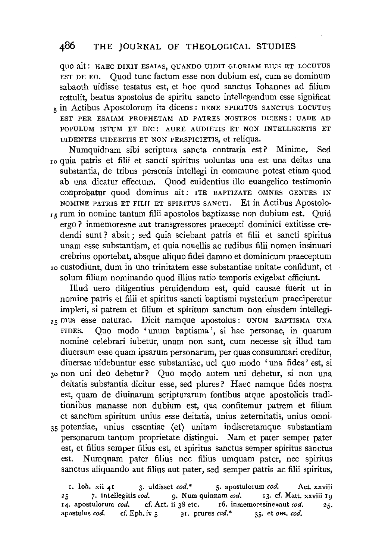#### 486 THE JOURNAL OF THEOLOGICAL STUDIES

quo ait: HAEC DIXIT ESAIAS, QUANDO UIDIT GLORIAM EIUS ET LOCUTUS EST DE EO. Quod tunc factum esse non dubium est, cum se dominum sabaoth uidisse testatus est, et hoc quod sanctus Iohannes ad filium rettulit, beatus apostolus de spiritu sancto intellegendum esse significat  $_{5}$  in Actibus Apostolorum ita dicens : BENE SPIRITUS SANCTUS LOCUTUS EST PER ESAIAM PROPHETAM AD PATRES NOSTROS DICENS: UADE AD POPULUM ISTUM ET DIC : AURE AUDIETIS ET NON INTELLEGETIS ET UIDENTES UIDEBITIS ET NON PERSPICIETIS, et reliqua.

Numquidnam sibi scriptura sancta contraria est? Minime. Sed <sup>1</sup> o quia patris et filii et sancti spiritus uoluntas una est una deitas una substantia, de tribus personis intellegi in commune potest etiam quod ab una dicatur effectum. Quod euidentius illo euangelico testimonio conprobatur quod dominus ait: ITE BAPTIZATE OMNES GENTES IN NOMINE PATRIS ET FILII ET SPIRITUS SANCTI. Et in Actibus Apostolo-

r5 rum in nomine tantum filii apostolos baptizasse non dubium est. Quid ergo? inmemoresne aut transgressores praecepti dominici extitisse credendi sunt? absit; sed quia sciebant patris et filii et sancti spiritus unam esse substantiam, et quia nouellis ac rudibus filii nomen insinuari crebrius oportebat, absque aliquo fidei damno et dominicum praeceptum 20 custodiunt, dum in uno trinitatem esse substantiae unitate confidunt, et solum filium nominando quod illius ratio temporis exigebat efficiunt.

Illud uero diligentius peruidendum est, quid causae fuerit ut in nomine patris et filii et spiritus sancti baptismi mysterium praeciperetur impleri, si patrem et filium et spiritum sanctum non eiusdem intellegi-25 mus esse naturae. Dicit namque apostolus : UNUM BAPTISMA UNA FIDES. Quo modo 'unum baptisma ', si hae personae, in quarum nomine celebrari iubetur, unum non sunt, cum necesse sit illud tam diuersum esse quam ipsarum personarum, per quas consummari creditur, diuersae uidebuntur esse substantiae, uel quo modo 'una fides' est, si 30 non uni deo debetur? Quo modo autem uni debetur, si non una deitatis substantia dicitur esse, sed plures? Haec namque fides nostra est, quam de diuinarum scripturarum fontibus atque apostolicis traditionibus manasse non dubium est, qua confitemur patrem et filium et sanctum spiritum unius esse deitatis, unius aeternitatis, unius omni-35 potentiae, unius essentiae (et) unitam indiscretamque substantiam

personarum tantum proprietate distingui. Nam et pater semper pater est, et filius semper filius est, et spiritus sanctus semper spiritus sanctus est. Numquam pater filius nee filius umquam pater, nee spiritus sanctus aliquando aut filius aut pater, sed semper patris ac filii spiritus,

r. lob. xii 41 3· uidisset *cod.\** 5· apostulorum *cod.* Act. xxviii 25 7. intellegitis *cod.* 9. Num quinnam *cod.* 13. cf. Matt. xxviii 19<br>14. apostulorum *cod.* cf. Act. ii 38 etc. 16. inmemoresine\*aut *cod.* 25. 14. apostulorum *cod.* cf. Act. ii 38 etc. r6. inmemoresine\*aut *cod.* 25. apostulus *cod.* cf. Eph. iv 5 31. prures *cod.\** 35. et om. cod.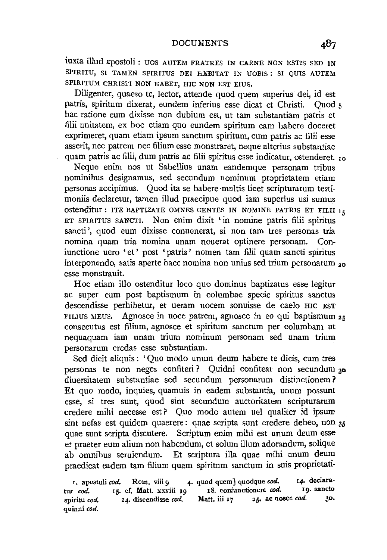#### DOCUMENTS

iuxta illud apostoli: UOS AUTEM FRATRES IN CARNE NON ESTIS SED IN SPIRITU, SI TAMEN SPIRITUS DEI HABITAT IN UOBIS : SI QUIS AUTEM SPIRITUM CHRISTI NON HABET, HIC NON EST EIUS.

Diligenter, quaeso te, lector, attende quod quem superius dei, id est patris, spiritum dixerat, eundem inferius esse dicat et Christi. Quod *5*  hac ratione eum dixisse non dubium est, ut tam substantiam patris et filii unitatem, ex hoc etiam quo eundem spiritum earn habere doceret exprimeret, quam etiam ipsum sanctum spiritum, cum patris ac filii esse asserit, nee patrem nee filium esse monstraret, neque alterius substantiae quam patris ac filii, dum patris ac filii spiritus esse indicatur, ostenderet. 10

Neque enim nos ut Sabellius unam eandemque personam tribus nominibus designamus, sed secundum nominum proprietatem etiam personas accipimus. Quod ita se habere ·multis licet scripturarum testimoniis declaretur, tamen illud praecipue quod iam superius usi sumus OStenditur: ITE BAPTIZATE OMNES GENTES IN NOMINE PATRIS ET FILII IE ET SPIRITUS SANCTI. Non enim dixit 'in nomine patris filii spiritus sancti', quod eum dixisse conuenerat, si non tam tres personas tria nomina quam tria nomina unam nouerat optinere personam. Coniunctione uero 'et' post 'patris ' nomen tam filii quam sancti spiritus interponendo, satis aperte haec nomina non unius sed trium personarum <sub>20</sub> esse monstrauit.

Hoc etiam illo ostenditur loco quo dominus baptizatus esse legitur ac super eum post baptismum in columbae specie spiritus sanctus descendisse perhibetur, et ueram uocem sonuisse de caelo HIC EST FILIUS MEUS. Agnosce in uoce patrem, agnosce in eo qui baptismum 25 consecutus est filium, agnosce et spiritum sanctum per columbam ut nequaquam iam unam trium nominum personam sed unam trium personarum credas esse substantiam.

Sed dicit aliquis : ' Quo modo unum deum habere te dicis, cum tres personas te non neges confiteri ? Quidni confitear non secundum 3o diuersitatem substantiae sed secundum personarum distinctionem? Et quo modo, inquies, quamuis in eadem substantia, unum possunt esse, si tres sunt, quod sint secundum auctoritatem scripturarum credere mihi necesse est? Quo modo autem uel qualiter id ipsum sint nefas est quidem quaerere: quae scripta sunt credere debeo, non 35 quae sunt scripta discutere. Scriptum enim mihi est unum deum esse et praeter eum alium non habendum, et solum illum adorandum, solique ab omnibus seruiendum. Et scriptura illa quae mihi unum deum praedicat eadem tam filium quam spiritum sanctum in suis proprietati-

I. apostuli *cod.* Rom. viii 9 **4.** quod quem] quodque *cod.* 14. declara-<br>r cod. 15. cf. Matt. xxviii 19 18. coniunctionem cod. 19. sancto tur *cod.* **If.** cf. Matt. xxviii I 9 18. coniunctionem *cod.* **Ig.** sancto spiritured and disceptionary and Matt. iii 17 25, ac nosce cod. 30. spiritu cod. 24. discendisse cod. Matt. iii 17 25. ac nosce cod. quinni *cod.*